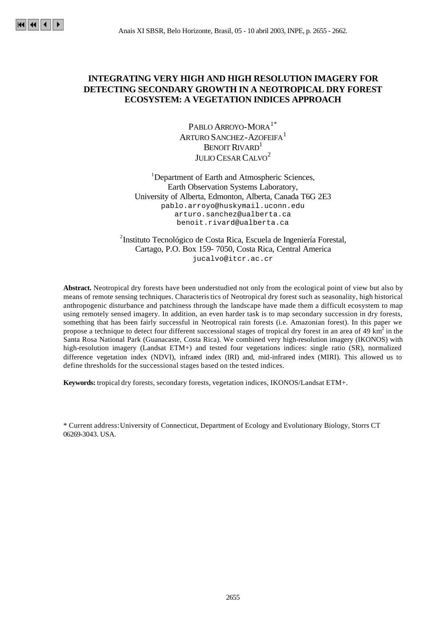# **INTEGRATING VERY HIGH AND HIGH RESOLUTION IMAGERY FOR DETECTING SECONDARY GROWTH IN A NEOTROPICAL DRY FOREST ECOSYSTEM: A VEGETATION INDICES APPROACH**

PABLO ARROYO-MORA<sup>1\*</sup> ARTURO SANCHEZ-AZOFEIFA<sup>1</sup> BENOIT RIVARD<sup>1</sup> JULIO CESAR CALVO<sup>2</sup>

<sup>1</sup>Department of Earth and Atmospheric Sciences, Earth Observation Systems Laboratory, University of Alberta, Edmonton, Alberta, Canada T6G 2E3 pablo.arroyo@huskymail.uconn.edu arturo.sanchez@ualberta.ca benoit.rivard@ualberta.ca

<sup>2</sup>Instituto Tecnológico de Costa Rica, Escuela de Ingeniería Forestal, Cartago, P.O. Box 159- 7050, Costa Rica, Central America jucalvo@itcr.ac.cr

**Abstract.** Neotropical dry forests have been understudied not only from the ecological point of view but also by means of remote sensing techniques. Characteristics of Neotropical dry forest such as seasonality, high historical anthropogenic disturbance and patchiness through the landscape have made them a difficult ecosystem to map using remotely sensed imagery. In addition, an even harder task is to map secondary succession in dry forests, something that has been fairly successful in Neotropical rain forests (i.e. Amazonian forest). In this paper we propose a technique to detect four different successional stages of tropical dry forest in an area of 49  $\text{km}^2$  in the Santa Rosa National Park (Guanacaste, Costa Rica). We combined very high-resolution imagery (IKONOS) with high-resolution imagery (Landsat ETM+) and tested four vegetations indices: single ratio (SR), normalized difference vegetation index (NDVI), infrared index (IRI) and, mid-infrared index (MIRI). This allowed us to define thresholds for the successional stages based on the tested indices.

**Keywords:** tropical dry forests, secondary forests, vegetation indices, IKONOS/Landsat ETM+.

\* Current address: University of Connecticut, Department of Ecology and Evolutionary Biology, Storrs CT 06269-3043. USA.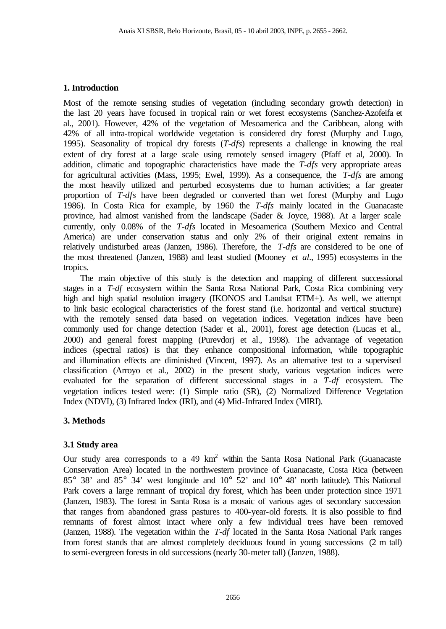## **1. Introduction**

Most of the remote sensing studies of vegetation (including secondary growth detection) in the last 20 years have focused in tropical rain or wet forest ecosystems (Sanchez-Azofeifa et al., 2001). However, 42% of the vegetation of Mesoamerica and the Caribbean, along with 42% of all intra-tropical worldwide vegetation is considered dry forest (Murphy and Lugo, 1995). Seasonality of tropical dry forests (*T-dfs*) represents a challenge in knowing the real extent of dry forest at a large scale using remotely sensed imagery (Pfaff et al, 2000). In addition, climatic and topographic characteristics have made the *T-dfs* very appropriate areas for agricultural activities (Mass, 1995; Ewel, 1999). As a consequence, the *T-dfs* are among the most heavily utilized and perturbed ecosystems due to human activities; a far greater proportion of *T-dfs* have been degraded or converted than wet forest (Murphy and Lugo 1986). In Costa Rica for example, by 1960 the *T-dfs* mainly located in the Guanacaste province, had almost vanished from the landscape (Sader & Joyce, 1988). At a larger scale currently, only 0.08% of the *T-dfs* located in Mesoamerica (Southern Mexico and Central America) are under conservation status and only 2% of their original extent remains in relatively undisturbed areas (Janzen, 1986). Therefore, the *T-dfs* are considered to be one of the most threatened (Janzen, 1988) and least studied (Mooney *et al*., 1995) ecosystems in the tropics.

The main objective of this study is the detection and mapping of different successional stages in a *T-df* ecosystem within the Santa Rosa National Park, Costa Rica combining very high and high spatial resolution imagery (IKONOS and Landsat ETM+). As well, we attempt to link basic ecological characteristics of the forest stand (i.e. horizontal and vertical structure) with the remotely sensed data based on vegetation indices. Vegetation indices have been commonly used for change detection (Sader et al., 2001), forest age detection (Lucas et al., 2000) and general forest mapping (Purevdorj et al., 1998). The advantage of vegetation indices (spectral ratios) is that they enhance compositional information, while topographic and illumination effects are diminished (Vincent, 1997). As an alternative test to a supervised classification (Arroyo et al., 2002) in the present study, various vegetation indices were evaluated for the separation of different successional stages in a *T-df* ecosystem. The vegetation indices tested were: (1) Simple ratio (SR), (2) Normalized Difference Vegetation Index (NDVI), (3) Infrared Index (IRI), and (4) Mid-Infrared Index (MIRI).

### **3. Methods**

### **3.1 Study area**

Our study area corresponds to a 49  $km^2$  within the Santa Rosa National Park (Guanacaste Conservation Area) located in the northwestern province of Guanacaste, Costa Rica (between 85° 38' and 85° 34' west longitude and 10° 52' and 10° 48' north latitude). This National Park covers a large remnant of tropical dry forest, which has been under protection since 1971 (Janzen, 1983). The forest in Santa Rosa is a mosaic of various ages of secondary succession that ranges from abandoned grass pastures to 400-year-old forests. It is also possible to find remnants of forest almost intact where only a few individual trees have been removed (Janzen, 1988). The vegetation within the *T-df* located in the Santa Rosa National Park ranges from forest stands that are almost completely deciduous found in young successions (2 m tall) to semi-evergreen forests in old successions (nearly 30-meter tall) (Janzen, 1988).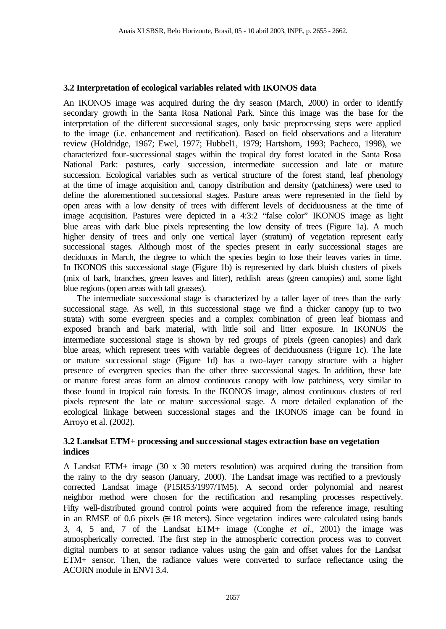## **3.2 Interpretation of ecological variables related with IKONOS data**

An IKONOS image was acquired during the dry season (March, 2000) in order to identify secondary growth in the Santa Rosa National Park. Since this image was the base for the interpretation of the different successional stages, only basic preprocessing steps were applied to the image (i.e. enhancement and rectification). Based on field observations and a literature review (Holdridge, 1967; Ewel, 1977; Hubbel1, 1979; Hartshorn, 1993; Pacheco, 1998), we characterized four-successional stages within the tropical dry forest located in the Santa Rosa National Park: pastures, early succession, intermediate succession and late or mature succession. Ecological variables such as vertical structure of the forest stand, leaf phenology at the time of image acquisition and, canopy distribution and density (patchiness) were used to define the aforementioned successional stages. Pasture areas were represented in the field by open areas with a low density of trees with different levels of deciduousness at the time of image acquisition. Pastures were depicted in a 4:3:2 "false color" IKONOS image as light blue areas with dark blue pixels representing the low density of trees (Figure 1a). A much higher density of trees and only one vertical layer (stratum) of vegetation represent early successional stages. Although most of the species present in early successional stages are deciduous in March, the degree to which the species begin to lose their leaves varies in time. In IKONOS this successional stage (Figure 1b) is represented by dark bluish clusters of pixels (mix of bark, branches, green leaves and litter), reddish areas (green canopies) and, some light blue regions (open areas with tall grasses).

The intermediate successional stage is characterized by a taller layer of trees than the early successional stage. As well, in this successional stage we find a thicker canopy (up to two strata) with some evergreen species and a complex combination of green leaf biomass and exposed branch and bark material, with little soil and litter exposure. In IKONOS the intermediate successional stage is shown by red groups of pixels (green canopies) and dark blue areas, which represent trees with variable degrees of deciduousness (Figure 1c). The late or mature successional stage (Figure 1d) has a two-layer canopy structure with a higher presence of evergreen species than the other three successional stages. In addition, these late or mature forest areas form an almost continuous canopy with low patchiness, very similar to those found in tropical rain forests. In the IKONOS image, almost continuous clusters of red pixels represent the late or mature successional stage. A more detailed explanation of the ecological linkage between successional stages and the IKONOS image can be found in Arroyo et al. (2002).

### **3.2 Landsat ETM+ processing and successional stages extraction base on vegetation indices**

A Landsat ETM+ image (30 x 30 meters resolution) was acquired during the transition from the rainy to the dry season (January, 2000). The Landsat image was rectified to a previously corrected Landsat image (P15R53/1997/TM5). A second order polynomial and nearest neighbor method were chosen for the rectification and resampling processes respectively. Fifty well-distributed ground control points were acquired from the reference image, resulting in an RMSE of 0.6 pixels  $\in$  18 meters). Since vegetation indices were calculated using bands 3, 4, 5 and, 7 of the Landsat ETM+ image (Conghe *et al*., 2001) the image was atmospherically corrected. The first step in the atmospheric correction process was to convert digital numbers to at sensor radiance values using the gain and offset values for the Landsat ETM+ sensor. Then, the radiance values were converted to surface reflectance using the ACORN module in ENVI 3.4.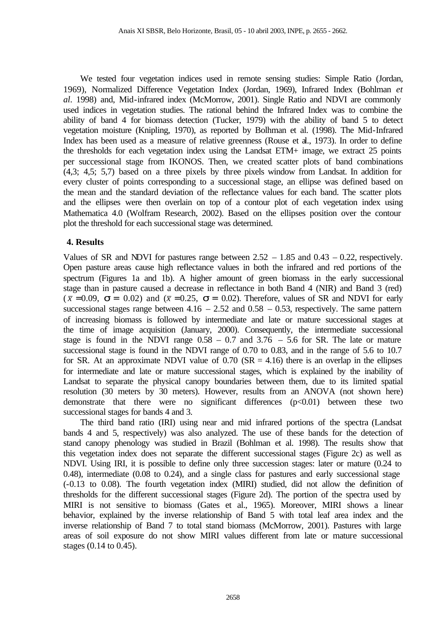We tested four vegetation indices used in remote sensing studies: Simple Ratio (Jordan, 1969), Normalized Difference Vegetation Index (Jordan, 1969), Infrared Index (Bohlman *et al*. 1998) and, Mid-infrared index (McMorrow, 2001). Single Ratio and NDVI are commonly used indices in vegetation studies. The rational behind the Infrared Index was to combine the ability of band 4 for biomass detection (Tucker, 1979) with the ability of band 5 to detect vegetation moisture (Knipling, 1970), as reported by Bolhman et al. (1998). The Mid-Infrared Index has been used as a measure of relative greenness (Rouse et al., 1973). In order to define the thresholds for each vegetation index using the Landsat ETM+ image, we extract 25 points per successional stage from IKONOS. Then, we created scatter plots of band combinations (4,3; 4,5; 5,7) based on a three pixels by three pixels window from Landsat. In addition for every cluster of points corresponding to a successional stage, an ellipse was defined based on the mean and the standard deviation of the reflectance values for each band. The scatter plots and the ellipses were then overlain on top of a contour plot of each vegetation index using Mathematica 4.0 (Wolfram Research, 2002). Based on the ellipses position over the contour plot the threshold for each successional stage was determined.

#### **4. Results**

Values of SR and NDVI for pastures range between  $2.52 - 1.85$  and  $0.43 - 0.22$ , respectively. Open pasture areas cause high reflectance values in both the infrared and red portions of the spectrum (Figures 1a and 1b). A higher amount of green biomass in the early successional stage than in pasture caused a decrease in reflectance in both Band 4 (NIR) and Band 3 (red)  $(\bar{x} = 0.09, \mathbf{s} = 0.02)$  and  $(\bar{x} = 0.25, \mathbf{s} = 0.02)$ . Therefore, values of SR and NDVI for early successional stages range between  $4.16 - 2.52$  and  $0.58 - 0.53$ , respectively. The same pattern of increasing biomass is followed by intermediate and late or mature successional stages at the time of image acquisition (January, 2000). Consequently, the intermediate successional stage is found in the NDVI range  $0.58 - 0.7$  and  $3.76 - 5.6$  for SR. The late or mature successional stage is found in the NDVI range of 0.70 to 0.83, and in the range of 5.6 to 10.7 for SR. At an approximate NDVI value of  $0.70$  (SR = 4.16) there is an overlap in the ellipses for intermediate and late or mature successional stages, which is explained by the inability of Landsat to separate the physical canopy boundaries between them, due to its limited spatial resolution (30 meters by 30 meters). However, results from an ANOVA (not shown here) demonstrate that there were no significant differences  $(p<0.01)$  between these two successional stages for bands 4 and 3.

The third band ratio (IRI) using near and mid infrared portions of the spectra (Landsat bands 4 and 5, respectively) was also analyzed. The use of these bands for the detection of stand canopy phenology was studied in Brazil (Bohlman et al. 1998). The results show that this vegetation index does not separate the different successional stages (Figure 2c) as well as NDVI. Using IRI, it is possible to define only three succession stages: later or mature (0.24 to 0.48), intermediate (0.08 to 0.24), and a single class for pastures and early successional stage (-0.13 to 0.08). The fourth vegetation index (MIRI) studied, did not allow the definition of thresholds for the different successional stages (Figure 2d). The portion of the spectra used by MIRI is not sensitive to biomass (Gates et al., 1965). Moreover, MIRI shows a linear behavior, explained by the inverse relationship of Band 5 with total leaf area index and the inverse relationship of Band 7 to total stand biomass (McMorrow, 2001). Pastures with large areas of soil exposure do not show MIRI values different from late or mature successional stages (0.14 to 0.45).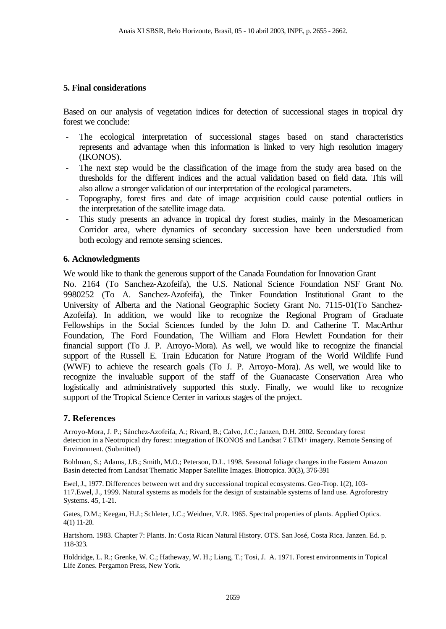## **5. Final considerations**

Based on our analysis of vegetation indices for detection of successional stages in tropical dry forest we conclude:

- The ecological interpretation of successional stages based on stand characteristics represents and advantage when this information is linked to very high resolution imagery (IKONOS).
- The next step would be the classification of the image from the study area based on the thresholds for the different indices and the actual validation based on field data. This will also allow a stronger validation of our interpretation of the ecological parameters.
- Topography, forest fires and date of image acquisition could cause potential outliers in the interpretation of the satellite image data.
- This study presents an advance in tropical dry forest studies, mainly in the Mesoamerican Corridor area, where dynamics of secondary succession have been understudied from both ecology and remote sensing sciences.

### **6. Acknowledgments**

We would like to thank the generous support of the Canada Foundation for Innovation Grant

No. 2164 (To Sanchez-Azofeifa), the U.S. National Science Foundation NSF Grant No. 9980252 (To A. Sanchez-Azofeifa), the Tinker Foundation Institutional Grant to the University of Alberta and the National Geographic Society Grant No. 7115-01(To Sanchez-Azofeifa). In addition, we would like to recognize the Regional Program of Graduate Fellowships in the Social Sciences funded by the John D. and Catherine T. MacArthur Foundation, The Ford Foundation, The William and Flora Hewlett Foundation for their financial support (To J. P. Arroyo-Mora). As well, we would like to recognize the financial support of the Russell E. Train Education for Nature Program of the World Wildlife Fund (WWF) to achieve the research goals (To J. P. Arroyo-Mora). As well, we would like to recognize the invaluable support of the staff of the Guanacaste Conservation Area who logistically and administratively supported this study. Finally, we would like to recognize support of the Tropical Science Center in various stages of the project.

### **7. References**

Arroyo-Mora, J. P.; Sánchez-Azofeifa, A.; Rivard, B.; Calvo, J.C.; Janzen, D.H. 2002. Secondary forest detection in a Neotropical dry forest: integration of IKONOS and Landsat 7 ETM+ imagery. Remote Sensing of Environment. (Submitted)

Bohlman, S.; Adams, J.B.; Smith, M.O.; Peterson, D.L. 1998. Seasonal foliage changes in the Eastern Amazon Basin detected from Landsat Thematic Mapper Satellite Images. Biotropica. 30(3), 376-391

Ewel, J., 1977. Differences between wet and dry successional tropical ecosystems. Geo-Trop. 1(2), 103- 117.Ewel, J., 1999. Natural systems as models for the design of sustainable systems of land use. Agroforestry Systems. 45, 1-21.

Gates, D.M.; Keegan, H.J.; Schleter, J.C.; Weidner, V.R. 1965. Spectral properties of plants. Applied Optics. 4(1) 11-20.

Hartshorn. 1983. Chapter 7: Plants. In: Costa Rican Natural History. OTS. San José, Costa Rica. Janzen. Ed. p. 118-323.

Holdridge, L. R.; Grenke, W. C.; Hatheway, W. H.; Liang, T.; Tosi, J. A. 1971. Forest environments in Topical Life Zones. Pergamon Press, New York.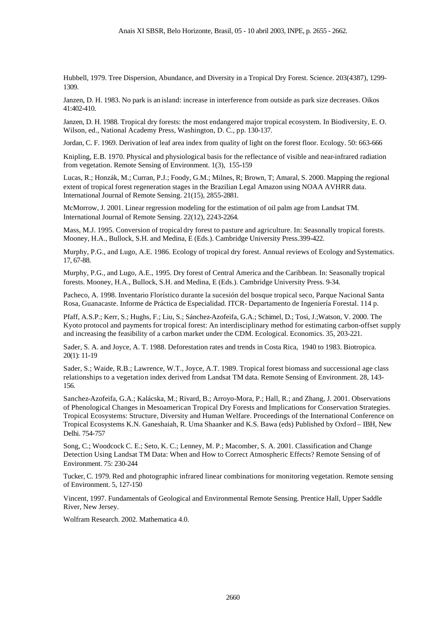Hubbell, 1979. Tree Dispersion, Abundance, and Diversity in a Tropical Dry Forest. Science. 203(4387), 1299- 1309.

Janzen, D. H. 1983. No park is an island: increase in interference from outside as park size decreases. Oikos 41:402-410.

Janzen, D. H. 1988. Tropical dry forests: the most endangered major tropical ecosystem. In Biodiversity, E. O. Wilson, ed., National Academy Press, Washington, D. C., pp. 130-137.

Jordan, C. F. 1969. Derivation of leaf area index from quality of light on the forest floor. Ecology. 50: 663-666

Knipling, E.B. 1970. Physical and physiological basis for the reflectance of visible and near-infrared radiation from vegetation. Remote Sensing of Environment. 1(3), 155-159

Lucas, R.; Honzák, M.; Curran, P.J.; Foody, G.M.; Milnes, R; Brown, T; Amaral, S. 2000. Mapping the regional extent of tropical forest regeneration stages in the Brazilian Legal Amazon using NOAA AVHRR data. International Journal of Remote Sensing. 21(15), 2855-2881.

McMorrow, J. 2001. Linear regression modeling for the estimation of oil palm age from Landsat TM. International Journal of Remote Sensing. 22(12), 2243-2264.

Mass, M.J. 1995. Conversion of tropical dry forest to pasture and agriculture. In: Seasonally tropical forests. Mooney, H.A., Bullock, S.H. and Medina, E (Eds.). Cambridge University Press.399-422.

Murphy, P.G., and Lugo, A.E. 1986. Ecology of tropical dry forest. Annual reviews of Ecology and Systematics. 17, 67-88.

Murphy, P.G., and Lugo, A.E., 1995. Dry forest of Central America and the Caribbean. In: Seasonally tropical forests. Mooney, H.A., Bullock, S.H. and Medina, E (Eds.). Cambridge University Press. 9-34.

Pacheco, A. 1998. Inventario Florístico durante la sucesión del bosque tropical seco, Parque Nacional Santa Rosa, Guanacaste. Informe de Práctica de Especialidad. ITCR- Departamento de Ingeniería Forestal. 114 p.

Pfaff, A.S.P.; Kerr, S.; Hughs, F.; Liu, S.; Sánchez-Azofeifa, G.A.; Schimel, D.; Tosi, J.;Watson, V. 2000. The Kyoto protocol and payments for tropical forest: An interdisciplinary method for estimating carbon-offset supply and increasing the feasibility of a carbon market under the CDM. Ecological. Economics. 35, 203-221.

Sader, S. A. and Joyce, A. T. 1988. Deforestation rates and trends in Costa Rica, 1940 to 1983. Biotropica. 20(1): 11-19

Sader, S.; Waide, R.B.; Lawrence, W.T., Joyce, A.T. 1989. Tropical forest biomass and successional age class relationships to a vegetation index derived from Landsat TM data. Remote Sensing of Environment. 28, 143- 156.

Sanchez-Azofeifa, G.A.; Kalácska, M.; Rivard, B.; Arroyo-Mora, P.; Hall, R.; and Zhang, J. 2001. Observations of Phenological Changes in Mesoamerican Tropical Dry Forests and Implications for Conservation Strategies. Tropical Ecosystems: Structure, Diversity and Human Welfare. Proceedings of the International Conference on Tropical Ecosystems K.N. Ganeshaiah, R. Uma Shaanker and K.S. Bawa (eds) Published by Oxford – IBH, New Delhi. 754-757

Song, C.; Woodcock C. E.; Seto, K. C.; Lenney, M. P.; Macomber, S. A. 2001. Classification and Change Detection Using Landsat TM Data: When and How to Correct Atmospheric Effects? Remote Sensing of of Environment. 75: 230-244

Tucker, C. 1979. Red and photographic infrared linear combinations for monitoring vegetation. Remote sensing of Environment. 5, 127-150

Vincent, 1997. Fundamentals of Geological and Environmental Remote Sensing. Prentice Hall, Upper Saddle River, New Jersey.

Wolfram Research. 2002. Mathematica 4.0.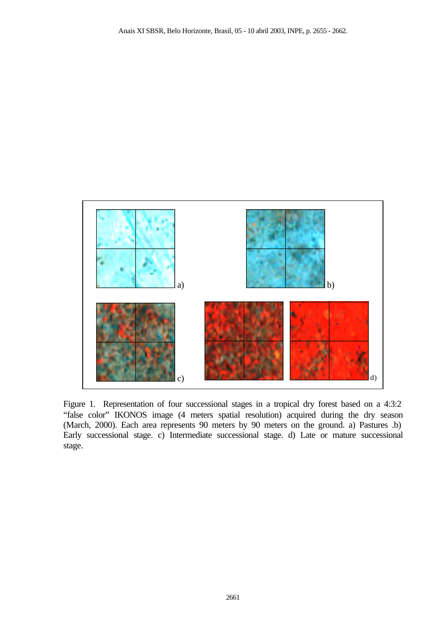

Figure 1. Representation of four successional stages in a tropical dry forest based on a 4:3:2 "false color" IKONOS image (4 meters spatial resolution) acquired during the dry season (March, 2000). Each area represents 90 meters by 90 meters on the ground. a) Pastures .b) Early successional stage. c) Intermediate successional stage. d) Late or mature successional stage.